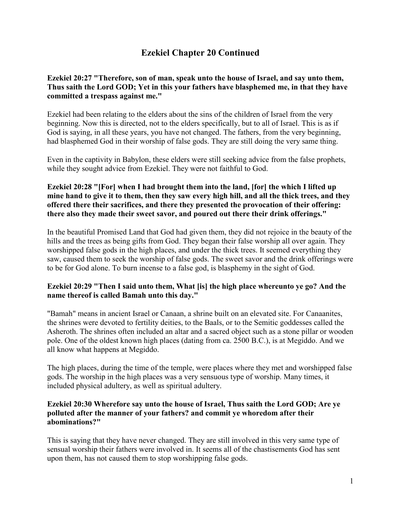# **Ezekiel Chapter 20 Continued**

### **Ezekiel 20:27 "Therefore, son of man, speak unto the house of Israel, and say unto them, Thus saith the Lord GOD; Yet in this your fathers have blasphemed me, in that they have committed a trespass against me."**

Ezekiel had been relating to the elders about the sins of the children of Israel from the very beginning. Now this is directed, not to the elders specifically, but to all of Israel. This is as if God is saying, in all these years, you have not changed. The fathers, from the very beginning, had blasphemed God in their worship of false gods. They are still doing the very same thing.

Even in the captivity in Babylon, these elders were still seeking advice from the false prophets, while they sought advice from Ezekiel. They were not faithful to God.

### **Ezekiel 20:28 "[For] when I had brought them into the land, [for] the which I lifted up mine hand to give it to them, then they saw every high hill, and all the thick trees, and they offered there their sacrifices, and there they presented the provocation of their offering: there also they made their sweet savor, and poured out there their drink offerings."**

In the beautiful Promised Land that God had given them, they did not rejoice in the beauty of the hills and the trees as being gifts from God. They began their false worship all over again. They worshipped false gods in the high places, and under the thick trees. It seemed everything they saw, caused them to seek the worship of false gods. The sweet savor and the drink offerings were to be for God alone. To burn incense to a false god, is blasphemy in the sight of God.

### **Ezekiel 20:29 "Then I said unto them, What [is] the high place whereunto ye go? And the name thereof is called Bamah unto this day."**

"Bamah" means in ancient Israel or Canaan, a shrine built on an elevated site. For Canaanites, the shrines were devoted to fertility deities, to the Baals, or to the Semitic goddesses called the Asheroth. The shrines often included an altar and a sacred object such as a stone pillar or wooden pole. One of the oldest known high places (dating from ca. 2500 B.C.), is at Megiddo. And we all know what happens at Megiddo.

The high places, during the time of the temple, were places where they met and worshipped false gods. The worship in the high places was a very sensuous type of worship. Many times, it included physical adultery, as well as spiritual adultery.

### **Ezekiel 20:30 Wherefore say unto the house of Israel, Thus saith the Lord GOD; Are ye polluted after the manner of your fathers? and commit ye whoredom after their abominations?"**

This is saying that they have never changed. They are still involved in this very same type of sensual worship their fathers were involved in. It seems all of the chastisements God has sent upon them, has not caused them to stop worshipping false gods.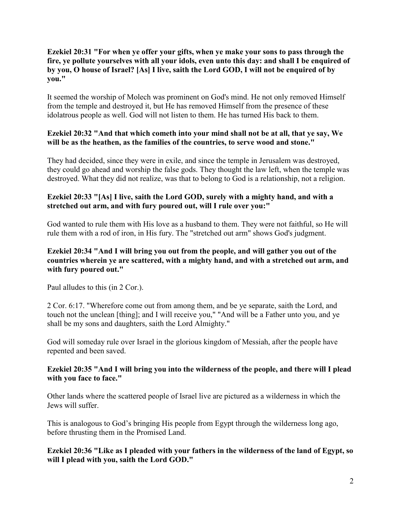### **Ezekiel 20:31 "For when ye offer your gifts, when ye make your sons to pass through the fire, ye pollute yourselves with all your idols, even unto this day: and shall I be enquired of by you, O house of Israel? [As] I live, saith the Lord GOD, I will not be enquired of by you."**

It seemed the worship of Molech was prominent on God's mind. He not only removed Himself from the temple and destroyed it, but He has removed Himself from the presence of these idolatrous people as well. God will not listen to them. He has turned His back to them.

### **Ezekiel 20:32 "And that which cometh into your mind shall not be at all, that ye say, We will be as the heathen, as the families of the countries, to serve wood and stone."**

They had decided, since they were in exile, and since the temple in Jerusalem was destroyed, they could go ahead and worship the false gods. They thought the law left, when the temple was destroyed. What they did not realize, was that to belong to God is a relationship, not a religion.

# **Ezekiel 20:33 "[As] I live, saith the Lord GOD, surely with a mighty hand, and with a stretched out arm, and with fury poured out, will I rule over you:"**

God wanted to rule them with His love as a husband to them. They were not faithful, so He will rule them with a rod of iron, in His fury. The "stretched out arm" shows God's judgment.

## **Ezekiel 20:34 "And I will bring you out from the people, and will gather you out of the countries wherein ye are scattered, with a mighty hand, and with a stretched out arm, and with fury poured out."**

Paul alludes to this (in 2 Cor.).

2 Cor. 6:17. "Wherefore come out from among them, and be ye separate, saith the Lord, and touch not the unclean [thing]; and I will receive you," "And will be a Father unto you, and ye shall be my sons and daughters, saith the Lord Almighty."

God will someday rule over Israel in the glorious kingdom of Messiah, after the people have repented and been saved.

### **Ezekiel 20:35 "And I will bring you into the wilderness of the people, and there will I plead with you face to face."**

Other lands where the scattered people of Israel live are pictured as a wilderness in which the Jews will suffer.

This is analogous to God's bringing His people from Egypt through the wilderness long ago, before thrusting them in the Promised Land.

**Ezekiel 20:36 "Like as I pleaded with your fathers in the wilderness of the land of Egypt, so will I plead with you, saith the Lord GOD."**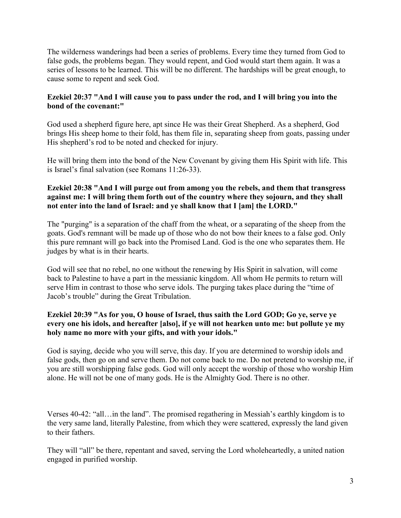The wilderness wanderings had been a series of problems. Every time they turned from God to false gods, the problems began. They would repent, and God would start them again. It was a series of lessons to be learned. This will be no different. The hardships will be great enough, to cause some to repent and seek God.

## **Ezekiel 20:37 "And I will cause you to pass under the rod, and I will bring you into the bond of the covenant:"**

God used a shepherd figure here, apt since He was their Great Shepherd. As a shepherd, God brings His sheep home to their fold, has them file in, separating sheep from goats, passing under His shepherd's rod to be noted and checked for injury.

He will bring them into the bond of the New Covenant by giving them His Spirit with life. This is Israel's final salvation (see Romans 11:26-33).

# **Ezekiel 20:38 "And I will purge out from among you the rebels, and them that transgress against me: I will bring them forth out of the country where they sojourn, and they shall not enter into the land of Israel: and ye shall know that I [am] the LORD."**

The "purging" is a separation of the chaff from the wheat, or a separating of the sheep from the goats. God's remnant will be made up of those who do not bow their knees to a false god. Only this pure remnant will go back into the Promised Land. God is the one who separates them. He judges by what is in their hearts.

God will see that no rebel, no one without the renewing by His Spirit in salvation, will come back to Palestine to have a part in the messianic kingdom. All whom He permits to return will serve Him in contrast to those who serve idols. The purging takes place during the "time of Jacob's trouble" during the Great Tribulation.

### **Ezekiel 20:39 "As for you, O house of Israel, thus saith the Lord GOD; Go ye, serve ye every one his idols, and hereafter [also], if ye will not hearken unto me: but pollute ye my holy name no more with your gifts, and with your idols."**

God is saying, decide who you will serve, this day. If you are determined to worship idols and false gods, then go on and serve them. Do not come back to me. Do not pretend to worship me, if you are still worshipping false gods. God will only accept the worship of those who worship Him alone. He will not be one of many gods. He is the Almighty God. There is no other.

Verses 40-42: "all…in the land". The promised regathering in Messiah's earthly kingdom is to the very same land, literally Palestine, from which they were scattered, expressly the land given to their fathers.

They will "all" be there, repentant and saved, serving the Lord wholeheartedly, a united nation engaged in purified worship.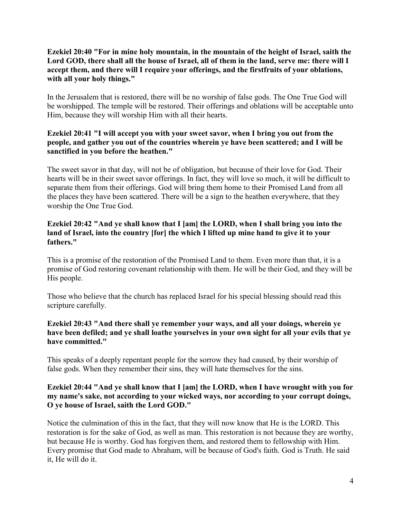#### **Ezekiel 20:40 "For in mine holy mountain, in the mountain of the height of Israel, saith the Lord GOD, there shall all the house of Israel, all of them in the land, serve me: there will I accept them, and there will I require your offerings, and the firstfruits of your oblations, with all your holy things."**

In the Jerusalem that is restored, there will be no worship of false gods. The One True God will be worshipped. The temple will be restored. Their offerings and oblations will be acceptable unto Him, because they will worship Him with all their hearts.

## **Ezekiel 20:41 "I will accept you with your sweet savor, when I bring you out from the people, and gather you out of the countries wherein ye have been scattered; and I will be sanctified in you before the heathen."**

The sweet savor in that day, will not be of obligation, but because of their love for God. Their hearts will be in their sweet savor offerings. In fact, they will love so much, it will be difficult to separate them from their offerings. God will bring them home to their Promised Land from all the places they have been scattered. There will be a sign to the heathen everywhere, that they worship the One True God.

#### **Ezekiel 20:42 "And ye shall know that I [am] the LORD, when I shall bring you into the land of Israel, into the country [for] the which I lifted up mine hand to give it to your fathers."**

This is a promise of the restoration of the Promised Land to them. Even more than that, it is a promise of God restoring covenant relationship with them. He will be their God, and they will be His people.

Those who believe that the church has replaced Israel for his special blessing should read this scripture carefully.

#### **Ezekiel 20:43 "And there shall ye remember your ways, and all your doings, wherein ye have been defiled; and ye shall loathe yourselves in your own sight for all your evils that ye have committed."**

This speaks of a deeply repentant people for the sorrow they had caused, by their worship of false gods. When they remember their sins, they will hate themselves for the sins.

# **Ezekiel 20:44 "And ye shall know that I [am] the LORD, when I have wrought with you for my name's sake, not according to your wicked ways, nor according to your corrupt doings, O ye house of Israel, saith the Lord GOD."**

Notice the culmination of this in the fact, that they will now know that He is the LORD. This restoration is for the sake of God, as well as man. This restoration is not because they are worthy, but because He is worthy. God has forgiven them, and restored them to fellowship with Him. Every promise that God made to Abraham, will be because of God's faith. God is Truth. He said it, He will do it.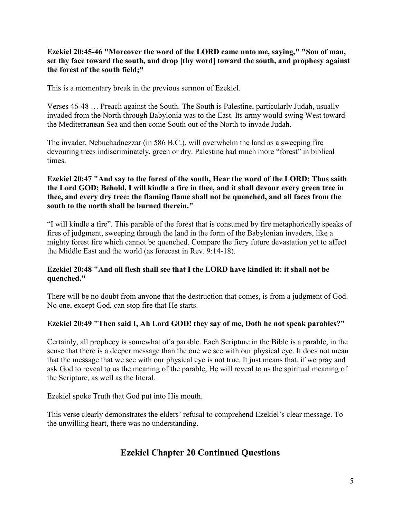**Ezekiel 20:45-46 "Moreover the word of the LORD came unto me, saying," "Son of man, set thy face toward the south, and drop [thy word] toward the south, and prophesy against the forest of the south field;"**

This is a momentary break in the previous sermon of Ezekiel.

Verses 46-48 … Preach against the South. The South is Palestine, particularly Judah, usually invaded from the North through Babylonia was to the East. Its army would swing West toward the Mediterranean Sea and then come South out of the North to invade Judah.

The invader, Nebuchadnezzar (in 586 B.C.), will overwhelm the land as a sweeping fire devouring trees indiscriminately, green or dry. Palestine had much more "forest" in biblical times.

#### **Ezekiel 20:47 "And say to the forest of the south, Hear the word of the LORD; Thus saith the Lord GOD; Behold, I will kindle a fire in thee, and it shall devour every green tree in thee, and every dry tree: the flaming flame shall not be quenched, and all faces from the south to the north shall be burned therein."**

"I will kindle a fire". This parable of the forest that is consumed by fire metaphorically speaks of fires of judgment, sweeping through the land in the form of the Babylonian invaders, like a mighty forest fire which cannot be quenched. Compare the fiery future devastation yet to affect the Middle East and the world (as forecast in Rev. 9:14-18).

### **Ezekiel 20:48 "And all flesh shall see that I the LORD have kindled it: it shall not be quenched."**

There will be no doubt from anyone that the destruction that comes, is from a judgment of God. No one, except God, can stop fire that He starts.

### **Ezekiel 20:49 "Then said I, Ah Lord GOD! they say of me, Doth he not speak parables?"**

Certainly, all prophecy is somewhat of a parable. Each Scripture in the Bible is a parable, in the sense that there is a deeper message than the one we see with our physical eye. It does not mean that the message that we see with our physical eye is not true. It just means that, if we pray and ask God to reveal to us the meaning of the parable, He will reveal to us the spiritual meaning of the Scripture, as well as the literal.

Ezekiel spoke Truth that God put into His mouth.

This verse clearly demonstrates the elders' refusal to comprehend Ezekiel's clear message. To the unwilling heart, there was no understanding.

# **Ezekiel Chapter 20 Continued Questions**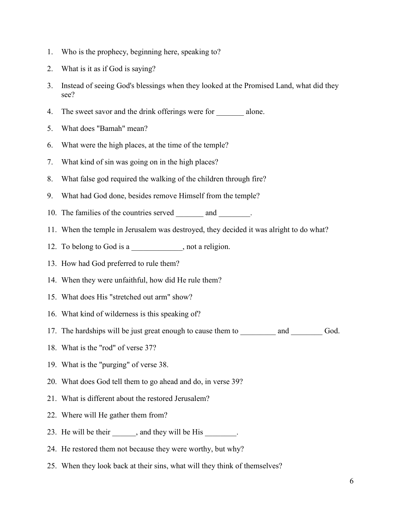- 1. Who is the prophecy, beginning here, speaking to?
- 2. What is it as if God is saying?
- 3. Instead of seeing God's blessings when they looked at the Promised Land, what did they see?
- 4. The sweet savor and the drink offerings were for \_\_\_\_\_\_\_ alone.
- 5. What does "Bamah" mean?
- 6. What were the high places, at the time of the temple?
- 7. What kind of sin was going on in the high places?
- 8. What false god required the walking of the children through fire?
- 9. What had God done, besides remove Himself from the temple?
- 10. The families of the countries served \_\_\_\_\_\_\_\_\_ and \_\_\_\_\_\_\_\_.
- 11. When the temple in Jerusalem was destroyed, they decided it was alright to do what?
- 12. To belong to God is a \_\_\_\_\_\_\_\_\_\_, not a religion.
- 13. How had God preferred to rule them?
- 14. When they were unfaithful, how did He rule them?
- 15. What does His "stretched out arm" show?
- 16. What kind of wilderness is this speaking of?
- 17. The hardships will be just great enough to cause them to \_\_\_\_\_\_\_\_\_ and \_\_\_\_\_\_\_\_\_ God.
- 18. What is the "rod" of verse 37?
- 19. What is the "purging" of verse 38.
- 20. What does God tell them to go ahead and do, in verse 39?
- 21. What is different about the restored Jerusalem?
- 22. Where will He gather them from?
- 23. He will be their \_\_\_\_\_, and they will be His
- 24. He restored them not because they were worthy, but why?
- 25. When they look back at their sins, what will they think of themselves?